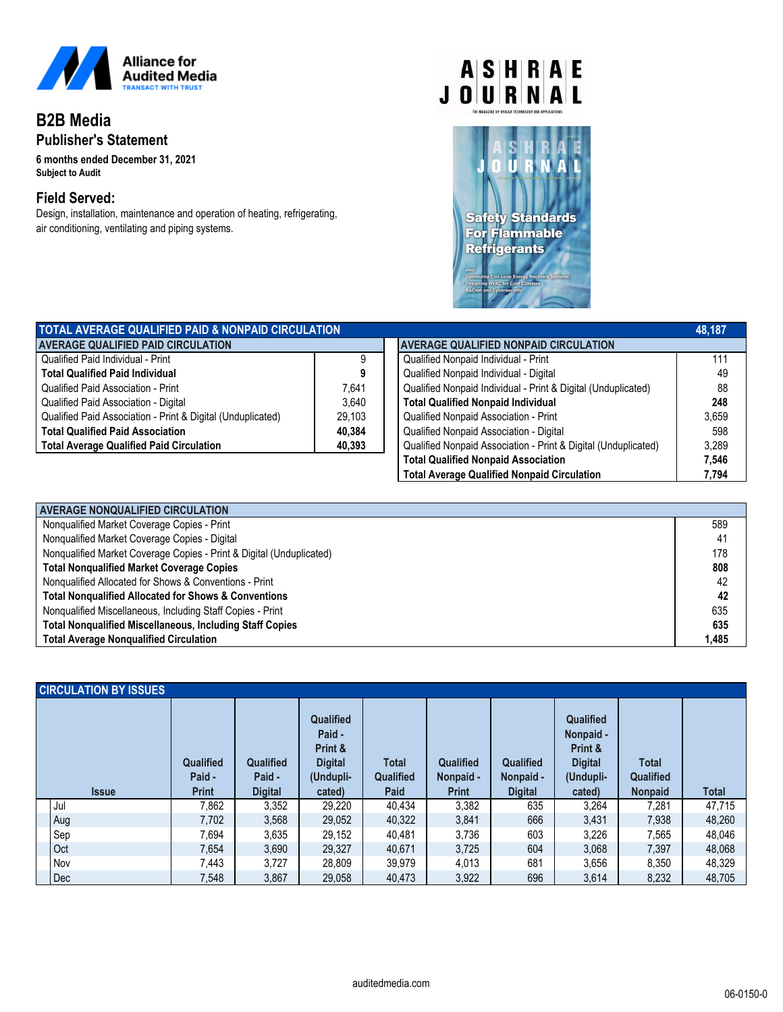

# **B2B Media Publisher's Statement**

**6 months ended December 31, 2021** *Subject to Audit*

### **Field Served:**

Design, installation, maintenance and operation of heating, refrigerating, air conditioning, ventilating and piping systems.

# $A|S|H|R|A|E$ **JOURNAL**



| TOTAL AVERAGE QUALIFIED PAID & NONPAID CIRCULATION          |        |                                                                | 48.187 |
|-------------------------------------------------------------|--------|----------------------------------------------------------------|--------|
| <b>AVERAGE QUALIFIED PAID CIRCULATION</b>                   |        | <b>AVERAGE QUALIFIED NONPAID CIRCULATION</b>                   |        |
| Qualified Paid Individual - Print                           |        | Qualified Nonpaid Individual - Print                           | 111    |
| <b>Total Qualified Paid Individual</b>                      |        | Qualified Nonpaid Individual - Digital                         | 49     |
| Qualified Paid Association - Print                          | 7.641  | Qualified Nonpaid Individual - Print & Digital (Unduplicated)  | 88     |
| Qualified Paid Association - Digital                        | 3.640  | <b>Total Qualified Nonpaid Individual</b>                      | 248    |
| Qualified Paid Association - Print & Digital (Unduplicated) | 29.103 | Qualified Nonpaid Association - Print                          | 3.659  |
| <b>Total Qualified Paid Association</b>                     | 40.384 | Qualified Nonpaid Association - Digital                        | 598    |
| <b>Total Average Qualified Paid Circulation</b>             | 40,393 | Qualified Nonpaid Association - Print & Digital (Unduplicated) | 3.289  |

|                                                                | 48.187 |
|----------------------------------------------------------------|--------|
| <b>AVERAGE QUALIFIED NONPAID CIRCULATION</b>                   |        |
| Qualified Nonpaid Individual - Print                           | 111    |
| Qualified Nonpaid Individual - Digital                         | 49     |
| Qualified Nonpaid Individual - Print & Digital (Unduplicated)  | 88     |
| <b>Total Qualified Nonpaid Individual</b>                      | 248    |
| Qualified Nonpaid Association - Print                          | 3,659  |
| Qualified Nonpaid Association - Digital                        | 598    |
| Qualified Nonpaid Association - Print & Digital (Unduplicated) | 3,289  |
| <b>Total Qualified Nonpaid Association</b>                     | 7,546  |
| <b>Total Average Qualified Nonpaid Circulation</b>             | 7.794  |

| <b>AVERAGE NONQUALIFIED CIRCULATION</b>                              |       |
|----------------------------------------------------------------------|-------|
| Nonqualified Market Coverage Copies - Print                          | 589   |
| Nonqualified Market Coverage Copies - Digital                        | 41    |
| Nonqualified Market Coverage Copies - Print & Digital (Unduplicated) | 178   |
| <b>Total Nongualified Market Coverage Copies</b>                     | 808   |
| Nonqualified Allocated for Shows & Conventions - Print               | 42    |
| <b>Total Nongualified Allocated for Shows &amp; Conventions</b>      | 42    |
| Nonqualified Miscellaneous, Including Staff Copies - Print           | 635   |
| <b>Total Nonqualified Miscellaneous, Including Staff Copies</b>      | 635   |
| <b>Total Average Nonqualified Circulation</b>                        | 1.485 |

| <b>CIRCULATION BY ISSUES</b> |                            |                            |                                                                      |                           |                               |                        |                                                                         |                           |              |
|------------------------------|----------------------------|----------------------------|----------------------------------------------------------------------|---------------------------|-------------------------------|------------------------|-------------------------------------------------------------------------|---------------------------|--------------|
|                              | <b>Qualified</b><br>Paid - | <b>Qualified</b><br>Paid - | <b>Qualified</b><br>Paid -<br>Print &<br><b>Digital</b><br>(Undupli- | <b>Total</b><br>Qualified | <b>Qualified</b><br>Nonpaid - | Qualified<br>Nonpaid - | <b>Qualified</b><br>Nonpaid -<br>Print &<br><b>Digital</b><br>(Undupli- | <b>Total</b><br>Qualified |              |
| <b>Issue</b>                 | <b>Print</b>               | <b>Digital</b>             | cated)                                                               | <b>Paid</b>               | <b>Print</b>                  | <b>Digital</b>         | cated)                                                                  | <b>Nonpaid</b>            | <b>Total</b> |
| Jul                          | 7,862                      | 3,352                      | 29.220                                                               | 40,434                    | 3,382                         | 635                    | 3.264                                                                   | 7,281                     | 47,715       |
| Aug                          | 7,702                      | 3,568                      | 29,052                                                               | 40,322                    | 3,841                         | 666                    | 3,431                                                                   | 7,938                     | 48,260       |
| Sep                          | 7,694                      | 3,635                      | 29,152                                                               | 40,481                    | 3,736                         | 603                    | 3,226                                                                   | 7,565                     | 48,046       |
| Oct                          | 7,654                      | 3,690                      | 29,327                                                               | 40,671                    | 3,725                         | 604                    | 3,068                                                                   | 7,397                     | 48,068       |
| Nov                          | 7,443                      | 3,727                      | 28,809                                                               | 39,979                    | 4,013                         | 681                    | 3,656                                                                   | 8,350                     | 48,329       |
| Dec                          | 7.548                      | 3,867                      | 29.058                                                               | 40.473                    | 3,922                         | 696                    | 3,614                                                                   | 8,232                     | 48,705       |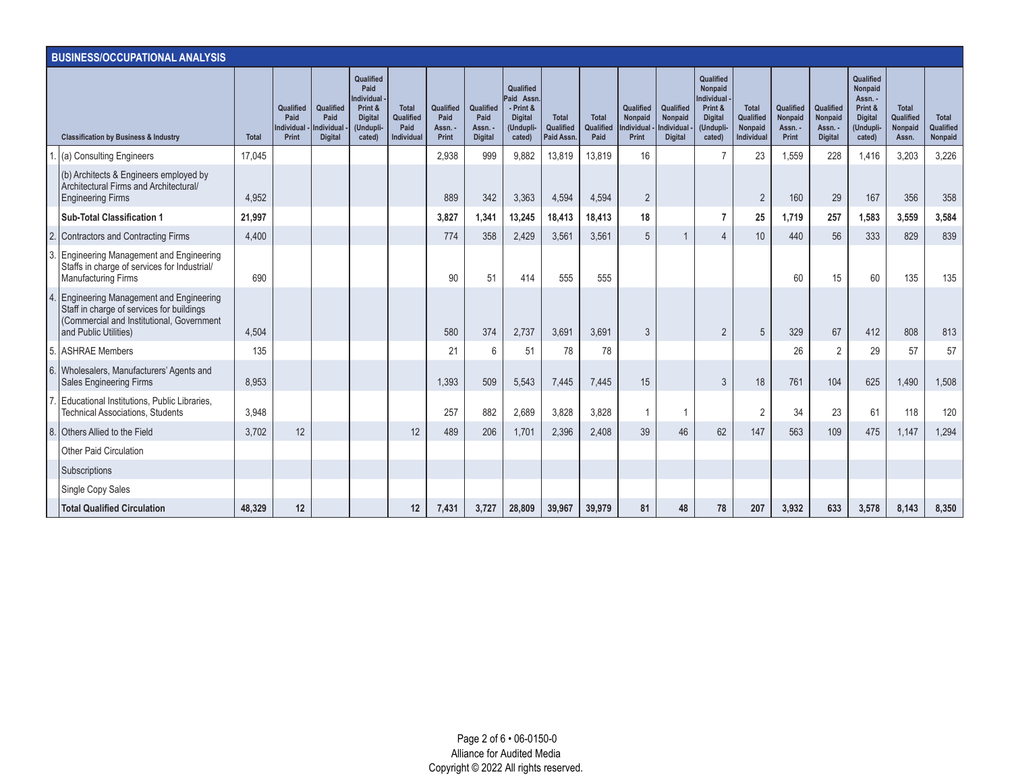|    | <b>BUSINESS/OCCUPATIONAL ANALYSIS</b>                                                                                                                     |              |                                                |                                                          |                                                                                            |                                                 |                                       |                                                |                                                                              |                                         |                                   |                                                    |                                                     |                                                                                                      |                                                                  |                                          |                                                   |                                                                                     |                                               |                               |
|----|-----------------------------------------------------------------------------------------------------------------------------------------------------------|--------------|------------------------------------------------|----------------------------------------------------------|--------------------------------------------------------------------------------------------|-------------------------------------------------|---------------------------------------|------------------------------------------------|------------------------------------------------------------------------------|-----------------------------------------|-----------------------------------|----------------------------------------------------|-----------------------------------------------------|------------------------------------------------------------------------------------------------------|------------------------------------------------------------------|------------------------------------------|---------------------------------------------------|-------------------------------------------------------------------------------------|-----------------------------------------------|-------------------------------|
|    | <b>Classification by Business &amp; Industry</b>                                                                                                          | <b>Total</b> | <b>Qualified</b><br>Paid<br>ndividual<br>Print | Qualified<br>Paid<br><b>Individual</b><br><b>Digital</b> | Qualified<br>Paid<br><b>Individual</b><br>Print &<br><b>Digital</b><br>(Undupli-<br>cated) | <b>Total</b><br>Qualified<br>Paid<br>Individual | Qualified<br>Paid<br>Assn. -<br>Print | Qualified<br>Paid<br>Assn. -<br><b>Digital</b> | Qualified<br>Paid Assn<br>- Print &<br><b>Digital</b><br>(Undupli-<br>cated) | <b>Total</b><br>Qualified<br>Paid Assn. | <b>Total</b><br>Qualified<br>Paid | Qualified<br>Nonpaid<br><b>Individual</b><br>Print | Qualified<br>Nonpaid<br>ndividual<br><b>Digital</b> | Qualified<br><b>Nonpaid</b><br><b>Individual</b><br>Print &<br><b>Digital</b><br>(Undupli-<br>cated) | <b>Total</b><br>Qualified<br><b>Nonpaid</b><br><b>Individual</b> | Qualified<br>Nonpaid<br>Assn. -<br>Print | Qualified<br>Nonpaid<br>Assn. -<br><b>Digital</b> | Qualified<br>Nonpaid<br>Assn. -<br>Print &<br><b>Digital</b><br>(Undupli-<br>cated) | <b>Total</b><br>Qualified<br>Nonpaid<br>Assn. | Total<br>Qualified<br>Nonpaid |
|    | (a) Consulting Engineers                                                                                                                                  | 17,045       |                                                |                                                          |                                                                                            |                                                 | 2,938                                 | 999                                            | 9,882                                                                        | 13,819                                  | 13,819                            | 16                                                 |                                                     |                                                                                                      | 23                                                               | 1,559                                    | 228                                               | 1,416                                                                               | 3,203                                         | 3,226                         |
|    | (b) Architects & Engineers employed by<br>Architectural Firms and Architectural/<br><b>Engineering Firms</b>                                              | 4,952        |                                                |                                                          |                                                                                            |                                                 | 889                                   | 342                                            | 3,363                                                                        | 4,594                                   | 4,594                             | $\overline{2}$                                     |                                                     |                                                                                                      | $\overline{2}$                                                   | 160                                      | 29                                                | 167                                                                                 | 356                                           | 358                           |
|    | <b>Sub-Total Classification 1</b>                                                                                                                         | 21,997       |                                                |                                                          |                                                                                            |                                                 | 3,827                                 | 1,341                                          | 13,245                                                                       | 18,413                                  | 18,413                            | 18                                                 |                                                     |                                                                                                      | 25                                                               | 1.719                                    | 257                                               | 1,583                                                                               | 3,559                                         | 3,584                         |
|    | Contractors and Contracting Firms                                                                                                                         | 4,400        |                                                |                                                          |                                                                                            |                                                 | 774                                   | 358                                            | 2,429                                                                        | 3,561                                   | 3,561                             | 5                                                  |                                                     | 4                                                                                                    | 10                                                               | 440                                      | 56                                                | 333                                                                                 | 829                                           | 839                           |
|    | 3. Engineering Management and Engineering<br>Staffs in charge of services for Industrial/<br><b>Manufacturing Firms</b>                                   | 690          |                                                |                                                          |                                                                                            |                                                 | 90                                    | 51                                             | 414                                                                          | 555                                     | 555                               |                                                    |                                                     |                                                                                                      |                                                                  | 60                                       | 15                                                | 60                                                                                  | 135                                           | 135                           |
|    | Engineering Management and Engineering<br>Staff in charge of services for buildings<br>(Commercial and Institutional, Government<br>and Public Utilities) | 4.504        |                                                |                                                          |                                                                                            |                                                 | 580                                   | 374                                            | 2.737                                                                        | 3.691                                   | 3.691                             | $\mathfrak{Z}$                                     |                                                     | $\overline{2}$                                                                                       | 5                                                                | 329                                      | 67                                                | 412                                                                                 | 808                                           | 813                           |
|    | 5. ASHRAE Members                                                                                                                                         | 135          |                                                |                                                          |                                                                                            |                                                 | 21                                    | 6                                              | 51                                                                           | 78                                      | 78                                |                                                    |                                                     |                                                                                                      |                                                                  | 26                                       | $\overline{2}$                                    | 29                                                                                  | 57                                            | 57                            |
| 6. | Wholesalers, Manufacturers' Agents and<br>Sales Engineering Firms                                                                                         | 8,953        |                                                |                                                          |                                                                                            |                                                 | 1.393                                 | 509                                            | 5.543                                                                        | 7,445                                   | 7.445                             | 15                                                 |                                                     | 3                                                                                                    | 18                                                               | 761                                      | 104                                               | 625                                                                                 | 1.490                                         | 1,508                         |
|    | Educational Institutions, Public Libraries,<br><b>Technical Associations, Students</b>                                                                    | 3,948        |                                                |                                                          |                                                                                            |                                                 | 257                                   | 882                                            | 2,689                                                                        | 3,828                                   | 3,828                             | -1                                                 | -1                                                  |                                                                                                      | $\overline{2}$                                                   | 34                                       | 23                                                | 61                                                                                  | 118                                           | 120                           |
| 8. | Others Allied to the Field                                                                                                                                | 3,702        | 12                                             |                                                          |                                                                                            | 12                                              | 489                                   | 206                                            | 1,701                                                                        | 2,396                                   | 2,408                             | 39                                                 | 46                                                  | 62                                                                                                   | 147                                                              | 563                                      | 109                                               | 475                                                                                 | 1,147                                         | 1,294                         |
|    | <b>Other Paid Circulation</b>                                                                                                                             |              |                                                |                                                          |                                                                                            |                                                 |                                       |                                                |                                                                              |                                         |                                   |                                                    |                                                     |                                                                                                      |                                                                  |                                          |                                                   |                                                                                     |                                               |                               |
|    | Subscriptions                                                                                                                                             |              |                                                |                                                          |                                                                                            |                                                 |                                       |                                                |                                                                              |                                         |                                   |                                                    |                                                     |                                                                                                      |                                                                  |                                          |                                                   |                                                                                     |                                               |                               |
|    | Single Copy Sales                                                                                                                                         |              |                                                |                                                          |                                                                                            |                                                 |                                       |                                                |                                                                              |                                         |                                   |                                                    |                                                     |                                                                                                      |                                                                  |                                          |                                                   |                                                                                     |                                               |                               |
|    | <b>Total Qualified Circulation</b>                                                                                                                        | 48.329       | 12                                             |                                                          |                                                                                            | 12                                              | 7.431                                 | 3.727                                          | 28.809                                                                       | 39.967                                  | 39.979                            | 81                                                 | 48                                                  | 78                                                                                                   | 207                                                              | 3.932                                    | 633                                               | 3.578                                                                               | 8.143                                         | 8,350                         |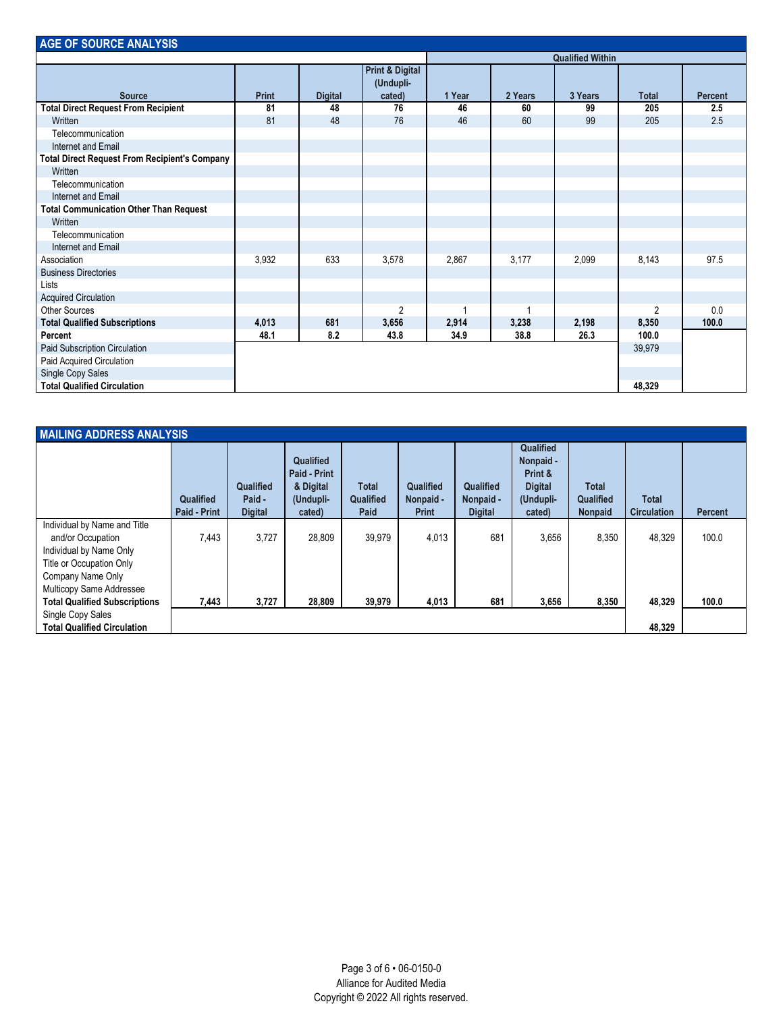| <b>AGE OF SOURCE ANALYSIS</b>                        |              |                |                                                   |        |         |                         |              |                |
|------------------------------------------------------|--------------|----------------|---------------------------------------------------|--------|---------|-------------------------|--------------|----------------|
|                                                      |              |                |                                                   |        |         | <b>Qualified Within</b> |              |                |
| <b>Source</b>                                        | <b>Print</b> | <b>Digital</b> | <b>Print &amp; Digital</b><br>(Undupli-<br>cated) | 1 Year | 2 Years | 3 Years                 | <b>Total</b> | <b>Percent</b> |
| <b>Total Direct Request From Recipient</b>           | 81           | 48             | 76                                                | 46     | 60      | 99                      | 205          | 2.5            |
| Written                                              | 81           | 48             | 76                                                | 46     | 60      | 99                      | 205          | 2.5            |
| Telecommunication                                    |              |                |                                                   |        |         |                         |              |                |
| Internet and Email                                   |              |                |                                                   |        |         |                         |              |                |
| <b>Total Direct Request From Recipient's Company</b> |              |                |                                                   |        |         |                         |              |                |
| Written                                              |              |                |                                                   |        |         |                         |              |                |
| Telecommunication                                    |              |                |                                                   |        |         |                         |              |                |
| Internet and Email                                   |              |                |                                                   |        |         |                         |              |                |
| <b>Total Communication Other Than Request</b>        |              |                |                                                   |        |         |                         |              |                |
| Written                                              |              |                |                                                   |        |         |                         |              |                |
| Telecommunication                                    |              |                |                                                   |        |         |                         |              |                |
| Internet and Email                                   |              |                |                                                   |        |         |                         |              |                |
| Association                                          | 3,932        | 633            | 3,578                                             | 2,867  | 3,177   | 2,099                   | 8,143        | 97.5           |
| <b>Business Directories</b>                          |              |                |                                                   |        |         |                         |              |                |
| Lists                                                |              |                |                                                   |        |         |                         |              |                |
| <b>Acquired Circulation</b>                          |              |                |                                                   |        |         |                         |              |                |
| <b>Other Sources</b>                                 |              |                | $\overline{2}$                                    |        |         |                         | 2            | 0.0            |
| <b>Total Qualified Subscriptions</b>                 | 4,013        | 681            | 3,656                                             | 2,914  | 3,238   | 2,198                   | 8,350        | 100.0          |
| Percent                                              | 48.1         | 8.2            | 43.8                                              | 34.9   | 38.8    | 26.3                    | 100.0        |                |
| Paid Subscription Circulation                        |              |                |                                                   |        |         |                         | 39,979       |                |
| Paid Acquired Circulation                            |              |                |                                                   |        |         |                         |              |                |
| Single Copy Sales                                    |              |                |                                                   |        |         |                         |              |                |
| <b>Total Qualified Circulation</b>                   |              |                |                                                   |        |         |                         | 48,329       |                |

| <b>MAILING ADDRESS ANALYSIS</b>                                                                                                                                                                   |                                  |                                       |                                                               |                                   |                                        |                                          |                                                                            |                                             |                                    |                |
|---------------------------------------------------------------------------------------------------------------------------------------------------------------------------------------------------|----------------------------------|---------------------------------------|---------------------------------------------------------------|-----------------------------------|----------------------------------------|------------------------------------------|----------------------------------------------------------------------------|---------------------------------------------|------------------------------------|----------------|
|                                                                                                                                                                                                   | Qualified<br><b>Paid - Print</b> | Qualified<br>Paid -<br><b>Digital</b> | Qualified<br>Paid - Print<br>& Digital<br>(Undupli-<br>cated) | <b>Total</b><br>Qualified<br>Paid | Qualified<br>Nonpaid -<br><b>Print</b> | Qualified<br>Nonpaid -<br><b>Digital</b> | Qualified<br>Nonpaid -<br>Print &<br><b>Digital</b><br>(Undupli-<br>cated) | <b>Total</b><br>Qualified<br><b>Nonpaid</b> | <b>Total</b><br><b>Circulation</b> | <b>Percent</b> |
| Individual by Name and Title<br>and/or Occupation<br>Individual by Name Only<br>Title or Occupation Only<br>Company Name Only<br>Multicopy Same Addressee<br><b>Total Qualified Subscriptions</b> | 7,443<br>7,443                   | 3.727<br>3,727                        | 28.809<br>28,809                                              | 39.979<br>39,979                  | 4,013<br>4,013                         | 681<br>681                               | 3.656<br>3,656                                                             | 8.350<br>8,350                              | 48.329<br>48,329                   | 100.0<br>100.0 |
| Single Copy Sales<br><b>Total Qualified Circulation</b>                                                                                                                                           |                                  |                                       |                                                               |                                   |                                        |                                          |                                                                            |                                             | 48,329                             |                |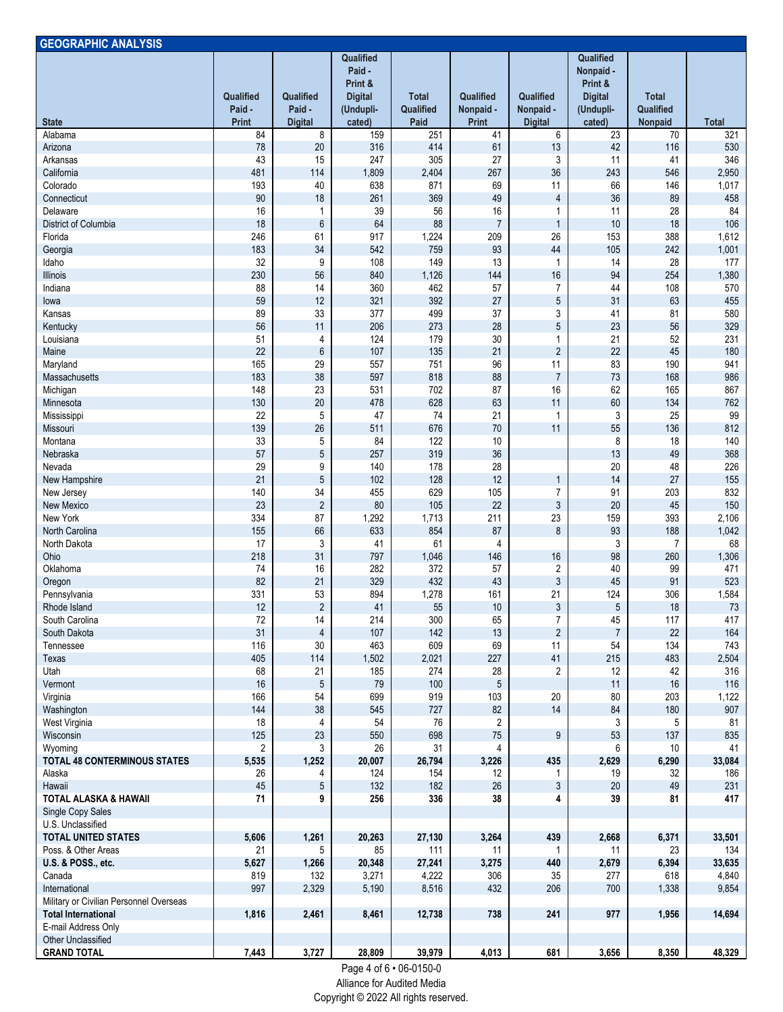| <b>GEOGRAPHIC ANALYSIS</b>                                            |                                     |                                       |                                                                         |                                   |                                        |                                          |                                                                            |                                      |              |
|-----------------------------------------------------------------------|-------------------------------------|---------------------------------------|-------------------------------------------------------------------------|-----------------------------------|----------------------------------------|------------------------------------------|----------------------------------------------------------------------------|--------------------------------------|--------------|
| <b>State</b>                                                          | Qualified<br>Paid -<br><b>Print</b> | Qualified<br>Paid -<br><b>Digital</b> | Qualified<br>Paid -<br>Print &<br><b>Digital</b><br>(Undupli-<br>cated) | <b>Total</b><br>Qualified<br>Paid | Qualified<br>Nonpaid -<br><b>Print</b> | Qualified<br>Nonpaid -<br><b>Digital</b> | Qualified<br>Nonpaid -<br>Print &<br><b>Digital</b><br>(Undupli-<br>cated) | <b>Total</b><br>Qualified<br>Nonpaid | <b>Total</b> |
| Alabama                                                               | 84                                  | 8                                     | 159                                                                     | 251                               | 41                                     | 6                                        | $\overline{23}$                                                            | 70                                   | 321          |
| Arizona                                                               | 78                                  | $20\,$                                | 316                                                                     | 414                               | 61                                     | 13                                       | 42                                                                         | 116                                  | 530          |
| Arkansas                                                              | 43                                  | 15                                    | 247                                                                     | 305                               | 27                                     | 3                                        | 11                                                                         | 41                                   | 346          |
| California                                                            | 481                                 | 114                                   | 1,809                                                                   | 2,404                             | 267                                    | 36                                       | 243                                                                        | 546                                  | 2,950        |
| Colorado                                                              | 193                                 | 40                                    | 638                                                                     | 871                               | 69                                     | 11                                       | 66                                                                         | 146                                  | 1,017        |
| Connecticut<br>Delaware                                               | 90<br>16                            | 18                                    | 261<br>39                                                               | 369<br>56                         | 49<br>16                               | $\overline{4}$                           | 36<br>11                                                                   | 89<br>28                             | 458<br>84    |
| District of Columbia                                                  | 18                                  | 1<br>6                                | 64                                                                      | 88                                | $\overline{7}$                         | 1<br>$\mathbf{1}$                        | 10                                                                         | 18                                   | 106          |
| Florida                                                               | 246                                 | 61                                    | 917                                                                     | 1,224                             | 209                                    | 26                                       | 153                                                                        | 388                                  | 1,612        |
| Georgia                                                               | 183                                 | 34                                    | 542                                                                     | 759                               | 93                                     | 44                                       | 105                                                                        | 242                                  | 1,001        |
| Idaho                                                                 | 32                                  | 9                                     | 108                                                                     | 149                               | 13                                     | 1                                        | 14                                                                         | 28                                   | 177          |
| Illinois                                                              | 230                                 | 56                                    | 840                                                                     | 1,126                             | 144                                    | 16                                       | 94                                                                         | 254                                  | 1,380        |
| Indiana                                                               | 88                                  | 14                                    | 360                                                                     | 462                               | 57                                     | $\overline{7}$                           | 44                                                                         | 108                                  | 570          |
| lowa                                                                  | 59                                  | 12                                    | 321                                                                     | 392                               | 27                                     | $\sqrt{5}$                               | 31                                                                         | 63                                   | 455          |
| Kansas<br>Kentucky                                                    | 89<br>56                            | 33<br>11                              | 377<br>206                                                              | 499<br>273                        | 37<br>28                               | 3<br>$\overline{5}$                      | 41<br>23                                                                   | 81<br>56                             | 580<br>329   |
| Louisiana                                                             | 51                                  | 4                                     | 124                                                                     | 179                               | 30                                     | 1                                        | 21                                                                         | 52                                   | 231          |
| Maine                                                                 | 22                                  | 6                                     | 107                                                                     | 135                               | 21                                     | $\overline{2}$                           | 22                                                                         | 45                                   | 180          |
| Maryland                                                              | 165                                 | 29                                    | 557                                                                     | 751                               | 96                                     | 11                                       | 83                                                                         | 190                                  | 941          |
| Massachusetts                                                         | 183                                 | 38                                    | 597                                                                     | 818                               | 88                                     | $\overline{7}$                           | 73                                                                         | 168                                  | 986          |
| Michigan                                                              | 148                                 | 23                                    | 531                                                                     | 702                               | 87                                     | 16                                       | 62                                                                         | 165                                  | 867          |
| Minnesota                                                             | 130                                 | 20                                    | 478                                                                     | 628                               | 63                                     | 11                                       | 60                                                                         | 134                                  | 762          |
| Mississippi                                                           | 22                                  | 5                                     | 47                                                                      | 74                                | 21                                     | $\mathbf{1}$                             | 3                                                                          | 25                                   | 99           |
| Missouri                                                              | 139                                 | 26                                    | 511                                                                     | 676                               | 70                                     | 11                                       | 55                                                                         | 136                                  | 812          |
| Montana<br>Nebraska                                                   | 33<br>57                            | 5<br>5                                | 84<br>257                                                               | 122<br>319                        | 10<br>36                               |                                          | 8<br>13                                                                    | 18<br>49                             | 140<br>368   |
| Nevada                                                                | 29                                  | 9                                     | 140                                                                     | 178                               | 28                                     |                                          | 20                                                                         | 48                                   | 226          |
| New Hampshire                                                         | 21                                  | 5                                     | 102                                                                     | 128                               | 12                                     | $\mathbf{1}$                             | 14                                                                         | 27                                   | 155          |
| New Jersey                                                            | 140                                 | 34                                    | 455                                                                     | 629                               | 105                                    | $\overline{7}$                           | 91                                                                         | 203                                  | 832          |
| New Mexico                                                            | 23                                  | $\overline{2}$                        | 80                                                                      | 105                               | 22                                     | $\sqrt{3}$                               | 20                                                                         | 45                                   | 150          |
| New York                                                              | 334                                 | 87                                    | 1,292                                                                   | 1,713                             | 211                                    | 23                                       | 159                                                                        | 393                                  | 2,106        |
| North Carolina                                                        | 155                                 | 66                                    | 633                                                                     | 854                               | 87                                     | $\bf 8$                                  | 93                                                                         | 188                                  | 1,042        |
| North Dakota                                                          | 17                                  | 3                                     | 41                                                                      | 61                                | 4                                      |                                          | 3                                                                          | 7                                    | 68           |
| Ohio<br>Oklahoma                                                      | 218<br>74                           | 31<br>16                              | 797<br>282                                                              | 1,046<br>372                      | 146<br>57                              | 16<br>$\overline{2}$                     | 98<br>40                                                                   | 260<br>99                            | 1,306<br>471 |
| Oregon                                                                | 82                                  | 21                                    | 329                                                                     | 432                               | 43                                     | $\sqrt{3}$                               | 45                                                                         | 91                                   | 523          |
| Pennsylvania                                                          | 331                                 | 53                                    | 894                                                                     | 1,278                             | 161                                    | 21                                       | 124                                                                        | 306                                  | 1,584        |
| Rhode Island                                                          | 12                                  | $\overline{2}$                        | 41                                                                      | 55                                | 10 <sup>1</sup>                        | $\mathbf{3}$                             | 5                                                                          | 18                                   | 73           |
| South Carolina                                                        | $72\,$                              | 14                                    | 214                                                                     | 300                               | 65                                     | $\overline{7}$                           | 45                                                                         | 117                                  | 417          |
| South Dakota                                                          | 31                                  | 4                                     | 107                                                                     | 142                               | 13                                     | $\overline{c}$                           | $\overline{7}$                                                             | 22                                   | 164          |
| Tennessee                                                             | 116                                 | 30                                    | 463                                                                     | 609                               | 69                                     | 11                                       | 54                                                                         | 134                                  | 743          |
| Texas                                                                 | 405                                 | 114                                   | 1,502                                                                   | 2,021                             | 227                                    | 41                                       | 215                                                                        | 483                                  | 2,504        |
| Utah<br>Vermont                                                       | 68<br>16                            | 21<br>$\sqrt{5}$                      | 185<br>79                                                               | 274<br>100                        | 28<br>5                                | $\overline{2}$                           | 12<br>11                                                                   | 42<br>16                             | 316<br>116   |
| Virginia                                                              | 166                                 | 54                                    | 699                                                                     | 919                               | 103                                    | 20                                       | 80                                                                         | 203                                  | 1,122        |
| Washington                                                            | 144                                 | 38                                    | 545                                                                     | 727                               | 82                                     | 14                                       | 84                                                                         | 180                                  | 907          |
| West Virginia                                                         | 18                                  | 4                                     | 54                                                                      | 76                                | $\overline{2}$                         |                                          | 3                                                                          | 5                                    | 81           |
| Wisconsin                                                             | 125                                 | 23                                    | 550                                                                     | 698                               | $75\,$                                 | $\boldsymbol{9}$                         | 53                                                                         | 137                                  | 835          |
| Wyoming                                                               | 2                                   | 3                                     | 26                                                                      | 31                                | 4                                      |                                          | 6                                                                          | 10                                   | 41           |
| <b>TOTAL 48 CONTERMINOUS STATES</b>                                   | 5,535                               | 1,252                                 | 20,007                                                                  | 26,794                            | 3,226                                  | 435                                      | 2,629                                                                      | 6,290                                | 33,084       |
| Alaska<br>Hawaii                                                      | 26<br>45                            | 4                                     | 124<br>132                                                              | 154                               | 12<br>26                               | 1<br>$\mathbf{3}$                        | 19<br>20                                                                   | 32                                   | 186          |
| <b>TOTAL ALASKA &amp; HAWAII</b>                                      | 71                                  | 5<br>9                                | 256                                                                     | 182<br>336                        | 38                                     | 4                                        | 39                                                                         | 49<br>81                             | 231<br>417   |
| Single Copy Sales                                                     |                                     |                                       |                                                                         |                                   |                                        |                                          |                                                                            |                                      |              |
| U.S. Unclassified                                                     |                                     |                                       |                                                                         |                                   |                                        |                                          |                                                                            |                                      |              |
| <b>TOTAL UNITED STATES</b>                                            | 5,606                               | 1,261                                 | 20,263                                                                  | 27,130                            | 3,264                                  | 439                                      | 2,668                                                                      | 6,371                                | 33,501       |
| Poss. & Other Areas                                                   | 21                                  | 5                                     | 85                                                                      | 111                               | 11                                     | 1                                        | 11                                                                         | 23                                   | 134          |
| U.S. & POSS., etc.                                                    | 5,627                               | 1,266                                 | 20,348                                                                  | 27,241                            | 3,275                                  | 440                                      | 2,679                                                                      | 6,394                                | 33,635       |
| Canada                                                                | 819                                 | 132                                   | 3,271                                                                   | 4,222                             | 306                                    | 35                                       | 277                                                                        | 618                                  | 4,840        |
| International                                                         | 997                                 | 2,329                                 | 5,190                                                                   | 8,516                             | 432                                    | 206                                      | 700                                                                        | 1,338                                | 9,854        |
| Military or Civilian Personnel Overseas<br><b>Total International</b> | 1,816                               | 2,461                                 | 8,461                                                                   | 12,738                            | 738                                    | 241                                      | 977                                                                        | 1,956                                | 14,694       |
| E-mail Address Only                                                   |                                     |                                       |                                                                         |                                   |                                        |                                          |                                                                            |                                      |              |
| Other Unclassified                                                    |                                     |                                       |                                                                         |                                   |                                        |                                          |                                                                            |                                      |              |
| <b>GRAND TOTAL</b>                                                    | 7,443                               | 3,727                                 | 28,809                                                                  | 39,979                            | 4,013                                  | 681                                      | 3,656                                                                      | 8,350                                | 48,329       |

Page 4 of 6 • 06-0150-0

Alliance for Audited Media

Copyright © 2022 All rights reserved.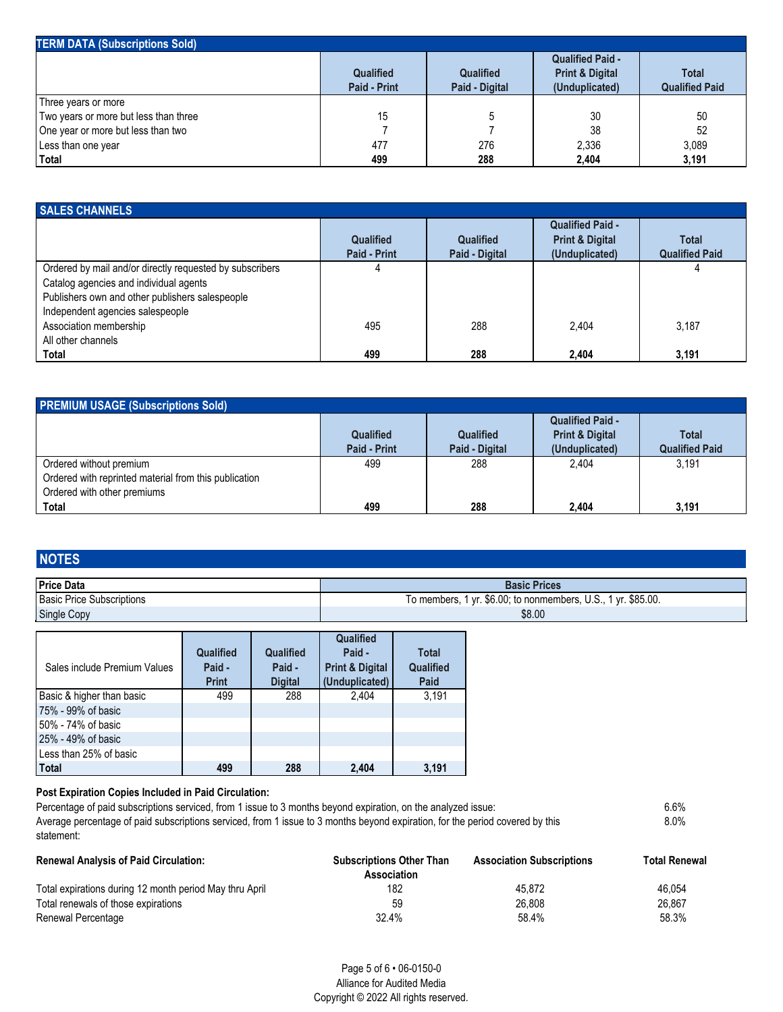| <b>TERM DATA (Subscriptions Sold)</b> |                                  |                                    |                                                                         |                                       |
|---------------------------------------|----------------------------------|------------------------------------|-------------------------------------------------------------------------|---------------------------------------|
|                                       | <b>Qualified</b><br>Paid - Print | <b>Qualified</b><br>Paid - Digital | <b>Qualified Paid -</b><br><b>Print &amp; Digital</b><br>(Unduplicated) | <b>Total</b><br><b>Qualified Paid</b> |
| Three years or more                   |                                  |                                    |                                                                         |                                       |
| Two years or more but less than three | 15                               |                                    | 30                                                                      | 50                                    |
| One year or more but less than two    |                                  |                                    | 38                                                                      | 52                                    |
| Less than one year                    | 477                              | 276                                | 2.336                                                                   | 3,089                                 |
| Total                                 | 499                              | 288                                | 2,404                                                                   | 3,191                                 |

| <b>SALES CHANNELS</b>                                                                                                                                                                     |                                         |                                    |                                                                         |                                       |  |  |
|-------------------------------------------------------------------------------------------------------------------------------------------------------------------------------------------|-----------------------------------------|------------------------------------|-------------------------------------------------------------------------|---------------------------------------|--|--|
|                                                                                                                                                                                           | <b>Qualified</b><br><b>Paid - Print</b> | <b>Qualified</b><br>Paid - Digital | <b>Qualified Paid -</b><br><b>Print &amp; Digital</b><br>(Unduplicated) | <b>Total</b><br><b>Qualified Paid</b> |  |  |
| Ordered by mail and/or directly requested by subscribers<br>Catalog agencies and individual agents<br>Publishers own and other publishers salespeople<br>Independent agencies salespeople |                                         |                                    |                                                                         |                                       |  |  |
| Association membership<br>All other channels                                                                                                                                              | 495                                     | 288                                | 2.404                                                                   | 3.187                                 |  |  |
| Total                                                                                                                                                                                     | 499                                     | 288                                | 2.404                                                                   | 3,191                                 |  |  |

| <b>PREMIUM USAGE (Subscriptions Sold)</b>             |                                         |                                    |                                                                         |                                       |  |  |
|-------------------------------------------------------|-----------------------------------------|------------------------------------|-------------------------------------------------------------------------|---------------------------------------|--|--|
|                                                       | <b>Qualified</b><br><b>Paid - Print</b> | <b>Qualified</b><br>Paid - Digital | <b>Qualified Paid -</b><br><b>Print &amp; Digital</b><br>(Unduplicated) | <b>Total</b><br><b>Qualified Paid</b> |  |  |
| Ordered without premium                               | 499                                     | 288                                | 2.404                                                                   | 3.191                                 |  |  |
| Ordered with reprinted material from this publication |                                         |                                    |                                                                         |                                       |  |  |
| Ordered with other premiums                           |                                         |                                    |                                                                         |                                       |  |  |
| Total                                                 | 499                                     | 288                                | 2.404                                                                   | 3,191                                 |  |  |

## **NOTES**

| l Price Data              | <b>Basic Prices</b>                                                |
|---------------------------|--------------------------------------------------------------------|
| Basic Price Subscriptions | 1 yr. \$6.00; to nonmembers, U.S., 1 yr. \$85.00.<br>To members. 1 |
| Single Copy               | \$8.00                                                             |

| Sales include Premium Values | Qualified<br>Paid -<br><b>Print</b> | Qualified<br>Paid -<br><b>Digital</b> | Qualified<br>Paid -<br><b>Print &amp; Digital</b><br>(Unduplicated) | <b>Total</b><br>Qualified<br>Paid |
|------------------------------|-------------------------------------|---------------------------------------|---------------------------------------------------------------------|-----------------------------------|
| Basic & higher than basic    | 499                                 | 288                                   | 2.404                                                               | 3.191                             |
| 75% - 99% of basic           |                                     |                                       |                                                                     |                                   |
| 50% - 74% of basic           |                                     |                                       |                                                                     |                                   |
| 25% - 49% of basic           |                                     |                                       |                                                                     |                                   |
| Less than 25% of basic       |                                     |                                       |                                                                     |                                   |
| <b>Total</b>                 | 499                                 | 288                                   | 2.404                                                               | 3.191                             |

#### **Post Expiration Copies Included in Paid Circulation:**

Percentage of paid subscriptions serviced, from 1 issue to 3 months beyond expiration, on the analyzed issue: 6.6% Average percentage of paid subscriptions serviced, from 1 issue to 3 months beyond expiration, for the period covered by this statement: 8.0%

| <b>Renewal Analysis of Paid Circulation:</b>            | <b>Subscriptions Other Than</b><br>Association | <b>Association Subscriptions</b> | <b>Total Renewal</b> |
|---------------------------------------------------------|------------------------------------------------|----------------------------------|----------------------|
| Total expirations during 12 month period May thru April | 182                                            | 45.872                           | 46.054               |
| Total renewals of those expirations                     | 59                                             | 26.808                           | 26.867               |
| Renewal Percentage                                      | 32.4%                                          | 58.4%                            | 58.3%                |